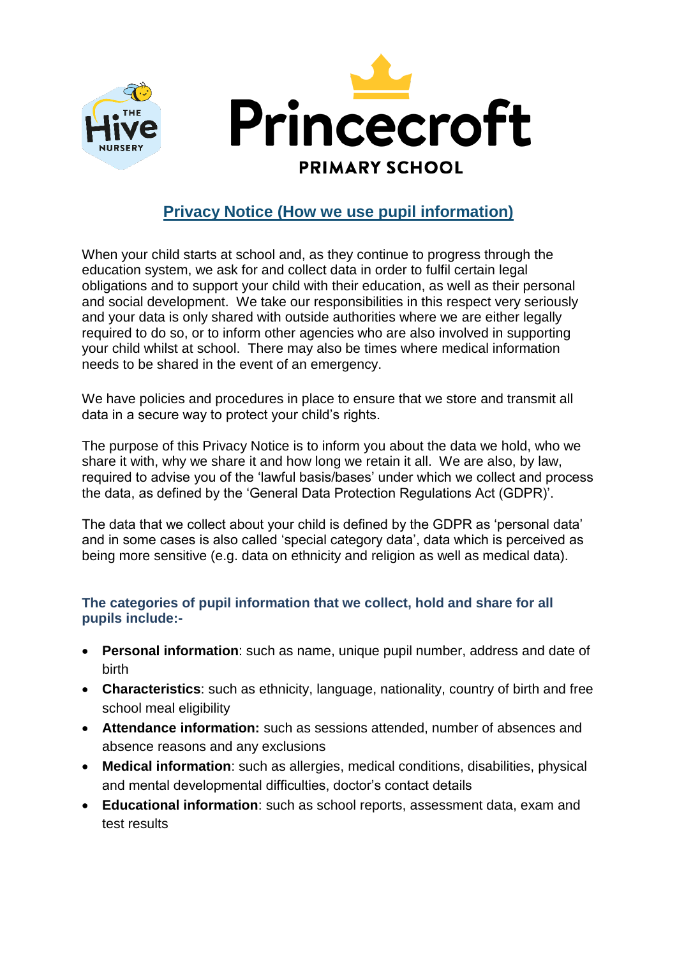

# **Privacy Notice (How we use pupil information)**

When your child starts at school and, as they continue to progress through the education system, we ask for and collect data in order to fulfil certain legal obligations and to support your child with their education, as well as their personal and social development. We take our responsibilities in this respect very seriously and your data is only shared with outside authorities where we are either legally required to do so, or to inform other agencies who are also involved in supporting your child whilst at school. There may also be times where medical information needs to be shared in the event of an emergency.

We have policies and procedures in place to ensure that we store and transmit all data in a secure way to protect your child's rights.

The purpose of this Privacy Notice is to inform you about the data we hold, who we share it with, why we share it and how long we retain it all. We are also, by law, required to advise you of the 'lawful basis/bases' under which we collect and process the data, as defined by the 'General Data Protection Regulations Act (GDPR)'.

The data that we collect about your child is defined by the GDPR as 'personal data' and in some cases is also called 'special category data', data which is perceived as being more sensitive (e.g. data on ethnicity and religion as well as medical data).

#### **The categories of pupil information that we collect, hold and share for all pupils include:-**

- **Personal information**: such as name, unique pupil number, address and date of birth
- **Characteristics**: such as ethnicity, language, nationality, country of birth and free school meal eligibility
- **Attendance information:** such as sessions attended, number of absences and absence reasons and any exclusions
- **Medical information**: such as allergies, medical conditions, disabilities, physical and mental developmental difficulties, doctor's contact details
- **Educational information**: such as school reports, assessment data, exam and test results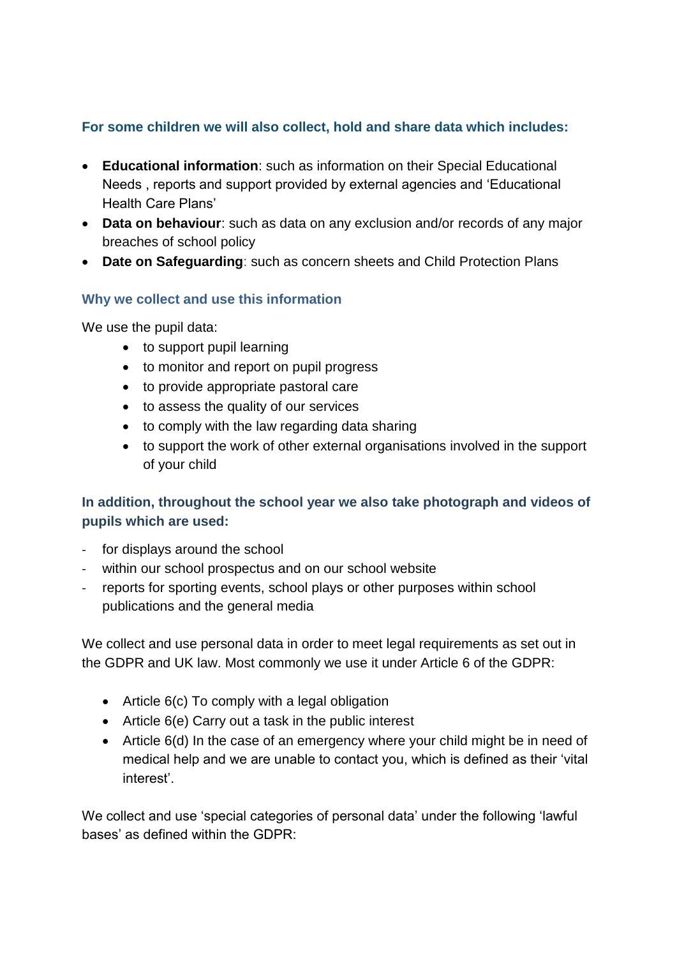## **For some children we will also collect, hold and share data which includes:**

- **Educational information**: such as information on their Special Educational Needs , reports and support provided by external agencies and 'Educational Health Care Plans'
- **Data on behaviour**: such as data on any exclusion and/or records of any major breaches of school policy
- **Date on Safeguarding**: such as concern sheets and Child Protection Plans

#### **Why we collect and use this information**

We use the pupil data:

- to support pupil learning
- to monitor and report on pupil progress
- to provide appropriate pastoral care
- to assess the quality of our services
- to comply with the law regarding data sharing
- to support the work of other external organisations involved in the support of your child

## **In addition, throughout the school year we also take photograph and videos of pupils which are used:**

- for displays around the school
- within our school prospectus and on our school website
- reports for sporting events, school plays or other purposes within school publications and the general media

We collect and use personal data in order to meet legal requirements as set out in the GDPR and UK law. Most commonly we use it under Article 6 of the GDPR:

- Article 6(c) To comply with a legal obligation
- Article 6(e) Carry out a task in the public interest
- Article 6(d) In the case of an emergency where your child might be in need of medical help and we are unable to contact you, which is defined as their 'vital interest'.

We collect and use 'special categories of personal data' under the following 'lawful bases' as defined within the GDPR: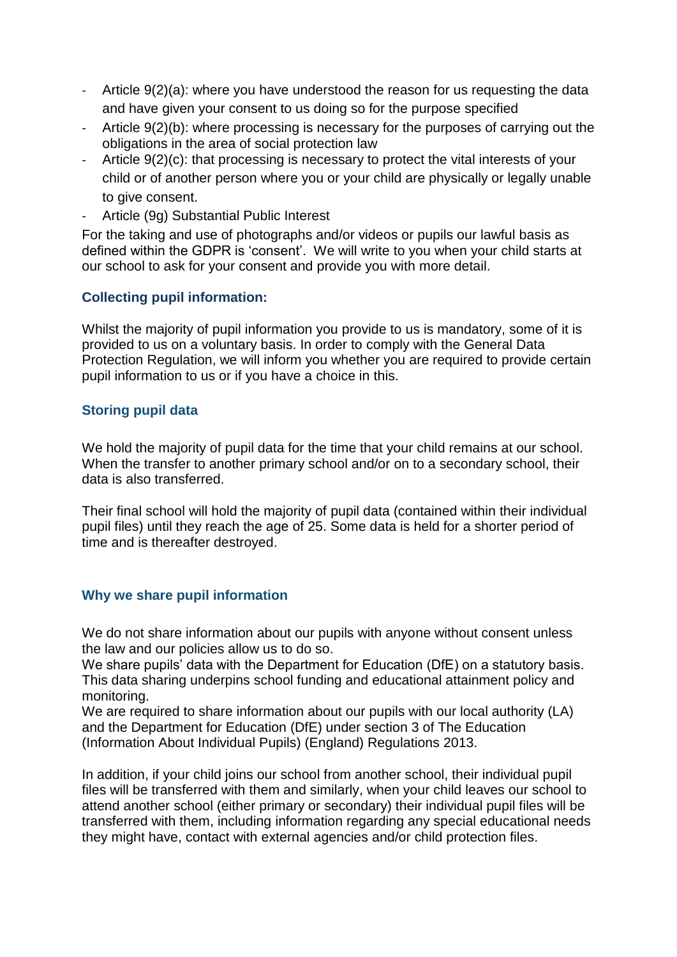- Article 9(2)(a): where you have understood the reason for us requesting the data and have given your consent to us doing so for the purpose specified
- Article 9(2)(b): where processing is necessary for the purposes of carrying out the obligations in the area of social protection law
- Article 9(2)(c): that processing is necessary to protect the vital interests of your child or of another person where you or your child are physically or legally unable to give consent.
- Article (9g) Substantial Public Interest

For the taking and use of photographs and/or videos or pupils our lawful basis as defined within the GDPR is 'consent'. We will write to you when your child starts at our school to ask for your consent and provide you with more detail.

## **Collecting pupil information:**

Whilst the majority of pupil information you provide to us is mandatory, some of it is provided to us on a voluntary basis. In order to comply with the General Data Protection Regulation, we will inform you whether you are required to provide certain pupil information to us or if you have a choice in this.

#### **Storing pupil data**

We hold the majority of pupil data for the time that your child remains at our school. When the transfer to another primary school and/or on to a secondary school, their data is also transferred.

Their final school will hold the majority of pupil data (contained within their individual pupil files) until they reach the age of 25. Some data is held for a shorter period of time and is thereafter destroyed.

#### **Why we share pupil information**

We do not share information about our pupils with anyone without consent unless the law and our policies allow us to do so.

We share pupils' data with the Department for Education (DfE) on a statutory basis. This data sharing underpins school funding and educational attainment policy and monitoring.

We are required to share information about our pupils with our local authority (LA) and the Department for Education (DfE) under section 3 of The Education (Information About Individual Pupils) (England) Regulations 2013.

In addition, if your child joins our school from another school, their individual pupil files will be transferred with them and similarly, when your child leaves our school to attend another school (either primary or secondary) their individual pupil files will be transferred with them, including information regarding any special educational needs they might have, contact with external agencies and/or child protection files.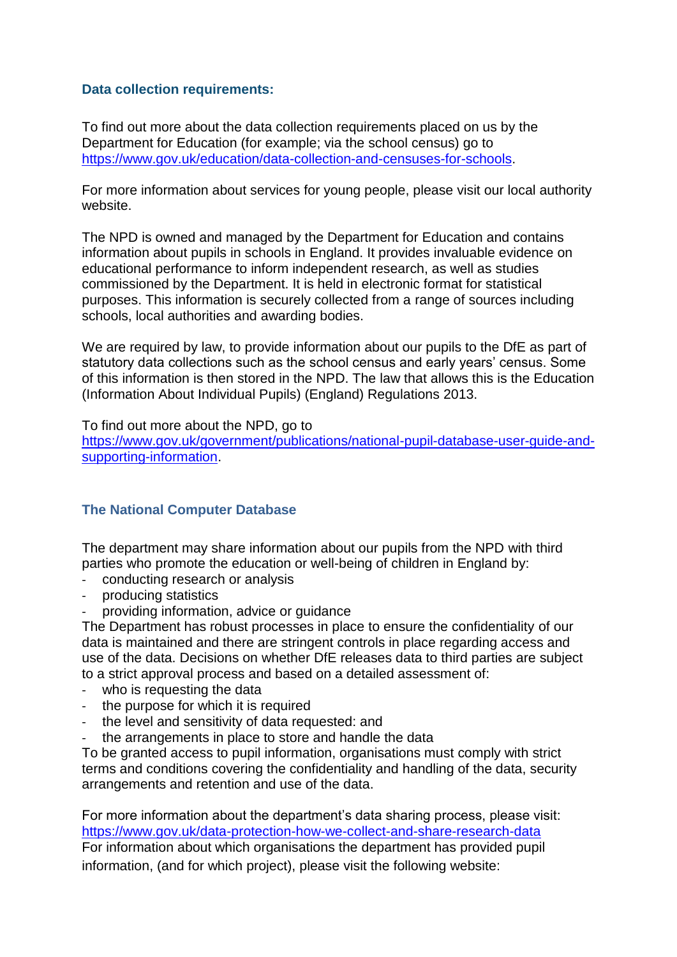#### **Data collection requirements:**

To find out more about the data collection requirements placed on us by the Department for Education (for example; via the school census) go to [https://www.gov.uk/education/data-collection-and-censuses-for-schools.](https://www.gov.uk/education/data-collection-and-censuses-for-schools)

For more information about services for young people, please visit our local authority website.

The NPD is owned and managed by the Department for Education and contains information about pupils in schools in England. It provides invaluable evidence on educational performance to inform independent research, as well as studies commissioned by the Department. It is held in electronic format for statistical purposes. This information is securely collected from a range of sources including schools, local authorities and awarding bodies.

We are required by law, to provide information about our pupils to the DfE as part of statutory data collections such as the school census and early years' census. Some of this information is then stored in the NPD. The law that allows this is the Education (Information About Individual Pupils) (England) Regulations 2013.

To find out more about the NPD, go to

[https://www.gov.uk/government/publications/national-pupil-database-user-guide-and](https://www.gov.uk/government/publications/national-pupil-database-user-guide-and-supporting-information)[supporting-information.](https://www.gov.uk/government/publications/national-pupil-database-user-guide-and-supporting-information)

#### **The National Computer Database**

The department may share information about our pupils from the NPD with third parties who promote the education or well-being of children in England by:

- conducting research or analysis
- producing statistics
- providing information, advice or guidance

The Department has robust processes in place to ensure the confidentiality of our data is maintained and there are stringent controls in place regarding access and use of the data. Decisions on whether DfE releases data to third parties are subject to a strict approval process and based on a detailed assessment of:

- who is requesting the data
- the purpose for which it is required
- the level and sensitivity of data requested: and
- the arrangements in place to store and handle the data

To be granted access to pupil information, organisations must comply with strict terms and conditions covering the confidentiality and handling of the data, security arrangements and retention and use of the data.

For more information about the department's data sharing process, please visit: <https://www.gov.uk/data-protection-how-we-collect-and-share-research-data> For information about which organisations the department has provided pupil information, (and for which project), please visit the following website: